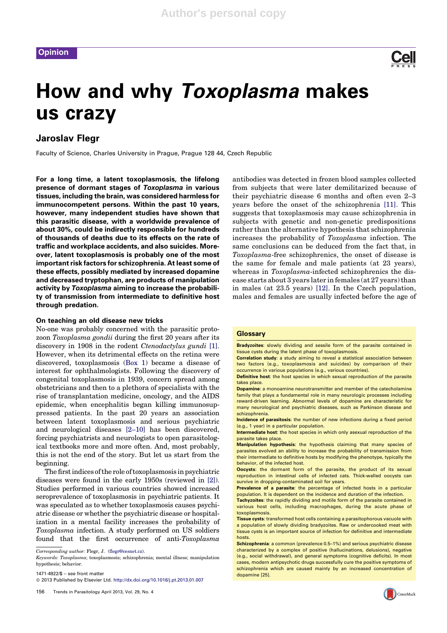

# How and why Toxoplasma makes us crazy

# Jaroslav Flegr

Faculty of Science, Charles University in Prague, Prague 128 44, Czech Republic

For a long time, a latent toxoplasmosis, the lifelong presence of dormant stages of Toxoplasma in various tissues, including the brain, was considered harmless for immunocompetent persons. Within the past 10 years, however, many independent studies have shown that this parasitic disease, with a worldwide prevalence of about 30%, could be indirectly responsible for hundreds of thousands of deaths due to its effects on the rate of traffic and workplace accidents, and also suicides. Moreover, latent toxoplasmosis is probably one of the most important risk factors for schizophrenia. At least some of these effects, possibly mediated by increased dopamine and decreased tryptophan, are products of manipulation activity by Toxoplasma aiming to increase the probability of transmission from intermediate to definitive host through predation.

### On teaching an old disease new tricks

No-one was probably concerned with the parasitic protozoon Toxoplasma gondii during the first 20 years after its discovery in 1908 in the rodent Ctenodactylus gundi [1]. However, when its detrimental effects on the retina were discovered, toxoplasmosis (Box 1) became a disease of interest for ophthalmologists. Following the discovery of congenital toxoplasmosis in 1939, concern spread among obstetricians and then to a plethora of specialists with the rise of transplantation medicine, oncology, and the AIDS epidemic, when encephalitis began killing immunosuppressed patients. In the past 20 years an association between latent toxoplasmosis and serious psychiatric and neurological diseases [2–10] has been discovered, forcing psychiatrists and neurologists to open parasitological textbooks more and more often. And, most probably, this is not the end of the story. But let us start from the beginning.

The firstindices ofthe role oftoxoplasmosis inpsychiatric diseases were found in the early 1950s (reviewed in [2]). Studies performed in various countries showed increased seroprevalence of toxoplasmosis in psychiatric patients. It was speculated as to whether toxoplasmosis causes psychiatric disease or whether the psychiatric disease or hospitalization in a mental facility increases the probability of Toxoplasma infection. A study performed on US soldiers found that the first occurrence of anti-Toxoplasma

1471-4922/\$ – see front matter and the set of the set of the set of the set of the set of the set of the set of the set of the set of the set of the set of the set of the set of the set of the set of the set of the set of

© 2013 Published by Elsevier Ltd. http://dx.doi.org/10.1016/j.pt.2013.01.007

156 Trends in Parasitology April 2013, Vol. 29, No. 4

antibodies was detected in frozen blood samples collected from subjects that were later demilitarized because of their psychiatric disease 6 months and often even 2–3 years before the onset of the schizophrenia [11]. This suggests that toxoplasmosis may cause schizophrenia in subjects with genetic and non-genetic predispositions rather than the alternative hypothesis that schizophrenia increases the probability of Toxoplasma infection. The same conclusions can be deduced from the fact that, in Toxoplasma-free schizophrenics, the onset of disease is the same for female and male patients (at 23 years), whereas in Toxoplasma-infected schizophrenics the disease starts about 3 years later in females (at  $27$  years) than in males (at 23.5 years) [12]. In the Czech population, males and females are usually infected before the age of

### **Glossary**

Bradyzoites: slowly dividing and sessile form of the parasite contained in tissue cysts during the latent phase of toxoplasmosis.

Correlation study: a study aiming to reveal a statistical association between two factors (e.g., toxoplasmosis and suicides) by comparison of their occurrence in various populations (e.g., various countries).

Definitive host: the host species in which sexual reproduction of the parasite takes place.

Dopamine: a monoamine neurotransmitter and member of the catecholamine family that plays a fundamental role in many neurologic processes including reward-driven learning. Abnormal levels of dopamine are characteristic for many neurological and psychiatric diseases, such as Parkinson disease and schizophrenia.

Incidence of parasitosis: the number of new infections during a fixed period (e.g., 1 year) in a particular population.

Intermediate host: the host species in which only asexual reproduction of the parasite takes place.

Manipulation hypothesis: the hypothesis claiming that many species of parasites evolved an ability to increase the probability of transmission from their intermediate to definitive hosts by modifying the phenotype, typically the behavior, of the infected host.

Oocysts: the dormant form of the parasite, the product of its sexual reproduction in intestinal cells of infected cats. Thick-walled oocysts can survive in dropping-contaminated soil for years.

Prevalence of a parasite: the percentage of infected hosts in a particular population. It is dependent on the incidence and duration of the infection.

Tachyzoites: the rapidly dividing and motile form of the parasite contained in various host cells, including macrophages, during the acute phase of toxoplasmosis.

Tissue cysts: transformed host cells containing a parasitophorous vacuole with a population of slowly dividing bradyzoites. Raw or undercooked meat with tissue cysts is an important source of infection for definitive and intermediate hosts.

Schizophrenia: a common (prevalence 0.5–1%) and serious psychiatric disease characterized by a complex of positive (hallucinations, delusions), negative (e.g., social withdrawal), and general symptoms (cognitive deficits). In most cases, modern antipsychotic drugs successfully cure the positive symptoms of schizophrenia which are caused mainly by an increased concentration of



Corresponding author: Flegr, J. (flegr@cesnet.cz).

Keywords: Toxoplasma; toxoplasmosis; schizophrenia; mental illness; manipulation hypothesis; behavior.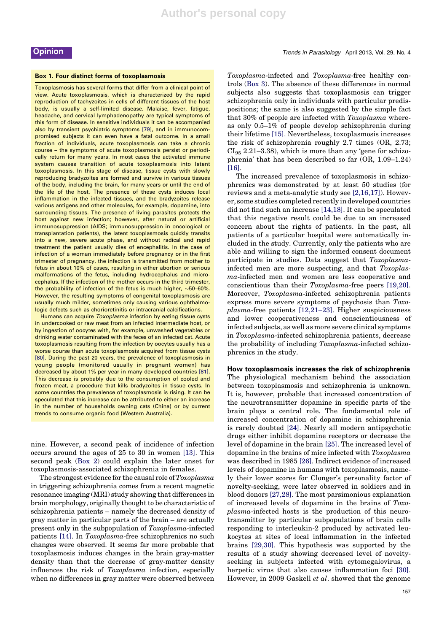### Box 1. Four distinct forms of toxoplasmosis

Toxoplasmosis has several forms that differ from a clinical point of view. Acute toxoplasmosis, which is characterized by the rapid reproduction of tachyzoites in cells of different tissues of the host body, is usually a self-limited disease. Malaise, fever, fatigue, headache, and cervical lymphadenopathy are typical symptoms of this form of disease. In sensitive individuals it can be accompanied also by transient psychiatric symptoms [79], and in immunocompromised subjects it can even have a fatal outcome. In a small fraction of individuals, acute toxoplasmosis can take a chronic course – the symptoms of acute toxoplasmosis persist or periodically return for many years. In most cases the activated immune system causes transition of acute toxoplasmosis into latent toxoplasmosis. In this stage of disease, tissue cysts with slowly reproducing bradyzoites are formed and survive in various tissues of the body, including the brain, for many years or until the end of the life of the host. The presence of these cysts induces local inflammation in the infected tissues, and the bradyzoites release various antigens and other molecules, for example, dopamine, into surrounding tissues. The presence of living parasites protects the host against new infection; however, after natural or artificial immunosuppression (AIDS; immunosuppression in oncological or transplantation patients), the latent toxoplasmosis quickly transits into a new, severe acute phase, and without radical and rapid treatment the patient usually dies of encephalitis. In the case of infection of a woman immediately before pregnancy or in the first trimester of pregnancy, the infection is transmitted from mother to fetus in about 10% of cases, resulting in either abortion or serious malformations of the fetus, including hydrocephalus and microcephalus. If the infection of the mother occurs in the third trimester, the probability of infection of the fetus is much higher,  $\sim$ 50–60%. However, the resulting symptoms of congenital toxoplasmosis are usually much milder, sometimes only causing various ophthalmologic defects such as chorioretinitis or intracranial calcifications.

Humans can acquire Toxoplasma infection by eating tissue cysts in undercooked or raw meat from an infected intermediate host, or by ingestion of oocytes with, for example, unwashed vegetables or drinking water contaminated with the feces of an infected cat. Acute toxoplasmosis resulting from the infection by oocytes usually has a worse course than acute toxoplasmosis acquired from tissue cysts [80]. During the past 20 years, the prevalence of toxoplasmosis in young people (monitored usually in pregnant women) has decreased by about 1% per year in many developed countries [81]. This decrease is probably due to the consumption of cooled and frozen meat, a procedure that kills bradyzoites in tissue cysts. In some countries the prevalence of toxoplasmosis is rising. It can be speculated that this increase can be attributed to either an increase in the number of households owning cats (China) or by current trends to consume organic food (Western Australia).

nine. However, a second peak of incidence of infection occurs around the ages of 25 to 30 in women [13]. This second peak (Box 2) could explain the later onset for toxoplasmosis-associated schizophrenia in females.

The strongest evidence for the causal role of Toxoplasma in triggering schizophrenia comes from a recent magnetic resonance imaging (MRI) study showing that differences in brain morphology, originally thought to be characteristic of schizophrenia patients – namely the decreased density of gray matter in particular parts of the brain – are actually present only in the subpopulation of Toxoplasma-infected patients [14]. In Toxoplasma-free schizophrenics no such changes were observed. It seems far more probable that toxoplasmosis induces changes in the brain gray-matter density than that the decrease of gray-matter density influences the risk of Toxoplasma infection, especially when no differences in gray matter were observed between

Toxoplasma-infected and Toxoplasma-free healthy controls (Box 3). The absence of these differences in normal subjects also suggests that toxoplasmosis can trigger schizophrenia only in individuals with particular predispositions; the same is also suggested by the simple fact that 30% of people are infected with Toxoplasma whereas only 0.5–1% of people develop schizophrenia during their lifetime [15]. Nevertheless, toxoplasmosis increases the risk of schizophrenia roughly 2.7 times (OR, 2.73;  $CI_{95}$  2.21–3.38), which is more than any 'gene for schizophrenia' that has been described so far (OR, 1.09–1.24) [16].

The increased prevalence of toxoplasmosis in schizophrenics was demonstrated by at least 50 studies (for reviews and a meta-analytic study see [2,16,17]). However, some studies completed recently in developed countries did not find such an increase [14,18]. It can be speculated that this negative result could be due to an increased concern about the rights of patients. In the past, all patients of a particular hospital were automatically included in the study. Currently, only the patients who are able and willing to sign the informed consent document participate in studies. Data suggest that Toxoplasmainfected men are more suspecting, and that Toxoplasma-infected men and women are less cooperative and conscientious than their Toxoplasma-free peers [19,20]. Moreover, Toxoplasma-infected schizophrenia patients express more severe symptoms of psychosis than Toxoplasma-free patients [12,21–23]. Higher suspiciousness and lower cooperativeness and conscientiousness of infected subjects, as well as more severe clinical symptoms in Toxoplasma-infected schizophrenia patients, decrease the probability of including Toxoplasma-infected schizophrenics in the study.

How toxoplasmosis increases the risk of schizophrenia The physiological mechanism behind the association between toxoplasmosis and schizophrenia is unknown. It is, however, probable that increased concentration of the neurotransmitter dopamine in specific parts of the brain plays a central role. The fundamental role of increased concentration of dopamine in schizophrenia is rarely doubted [24]. Nearly all modern antipsychotic drugs either inhibit dopamine receptors or decrease the level of dopamine in the brain [25]. The increased level of dopamine in the brains of mice infected with Toxoplasma was described in 1985 [26]. Indirect evidence of increased levels of dopamine in humans with toxoplasmosis, namely their lower scores for Clonger's personality factor of novelty-seeking, were later observed in soldiers and in blood donors [27,28]. The most parsimonious explanation of increased levels of dopamine in the brains of Toxoplasma-infected hosts is the production of this neurotransmitter by particular subpopulations of brain cells responding to interleukin-2 produced by activated leukocytes at sites of local inflammation in the infected brains [29,30]. This hypothesis was supported by the results of a study showing decreased level of noveltyseeking in subjects infected with cytomegalovirus, a herpetic virus that also causes inflammation foci [30]. However, in 2009 Gaskell et al. showed that the genome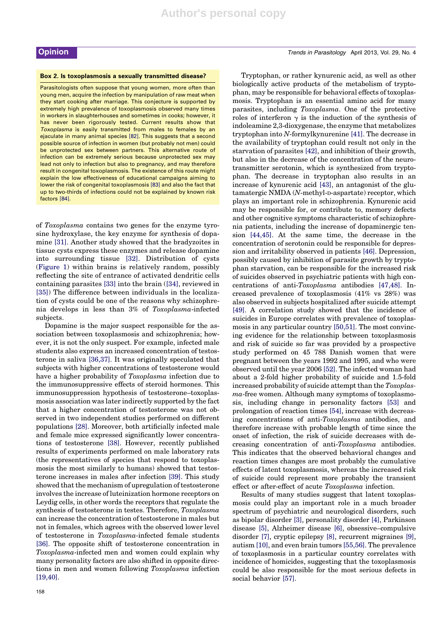### Box 2. Is toxoplasmosis a sexually transmitted disease?

Parasitologists often suppose that young women, more often than young men, acquire the infection by manipulation of raw meat when they start cooking after marriage. This conjecture is supported by extremely high prevalence of toxoplasmosis observed many times in workers in slaughterhouses and sometimes in cooks; however, it has never been rigorously tested. Current results show that Toxoplasma is easily transmitted from males to females by an ejaculate in many animal species [82]. This suggests that a second possible source of infection in women (but probably not men) could be unprotected sex between partners. This alternative route of infection can be extremely serious because unprotected sex may lead not only to infection but also to pregnancy, and may therefore result in congenital toxoplasmosis. The existence of this route might explain the low effectiveness of educational campaigns aiming to lower the risk of congenital toxoplasmosis [83] and also the fact that up to two-thirds of infections could not be explained by known risk factors [84].

of Toxoplasma contains two genes for the enzyme tyrosine hydroxylase, the key enzyme for synthesis of dopamine [31]. Another study showed that the bradyzoites in tissue cysts express these enzymes and release dopamine into surrounding tissue [32]. Distribution of cysts (Figure 1) within brains is relatively random, possibly reflecting the site of entrance of activated dendritic cells containing parasites [33] into the brain ([34], reviewed in [35]) The difference between individuals in the localization of cysts could be one of the reasons why schizophrenia develops in less than 3% of Toxoplasma-infected subjects.

Dopamine is the major suspect responsible for the association between toxoplasmosis and schizophrenia; however, it is not the only suspect. For example, infected male students also express an increased concentration of testosterone in saliva [36,37]. It was originally speculated that subjects with higher concentrations of testosterone would have a higher probability of Toxoplasma infection due to the immunosuppressive effects of steroid hormones. This immunosuppression hypothesis of testosterone–toxoplasmosis association was later indirectly supported by the fact that a higher concentration of testosterone was not observed in two independent studies performed on different populations [28]. Moreover, both artificially infected male and female mice expressed significantly lower concentrations of testosterone [38]. However, recently published results of experiments performed on male laboratory rats (the representatives of species that respond to toxoplasmosis the most similarly to humans) showed that testosterone increases in males after infection [39]. This study showed that the mechanism of upregulation of testosterone involves the increase of luteinization hormone receptors on Leydig cells, in other words the receptors that regulate the synthesis of testosterone in testes. Therefore, Toxoplasma can increase the concentration of testosterone in males but not in females, which agrees with the observed lower level of testosterone in Toxoplasma-infected female students [36]. The opposite shift of testosterone concentration in Toxoplasma-infected men and women could explain why many personality factors are also shifted in opposite directions in men and women following Toxoplasma infection [19,40].

**Opinion Community Community Community Community Community Community Community Community Community Community Community Community Community Community Community Community Community Community Community Community Community C** 

Tryptophan, or rather kynurenic acid, as well as other biologically active products of the metabolism of tryptophan, may be responsible for behavioral effects of toxoplasmosis. Tryptophan is an essential amino acid for many parasites, including Toxoplasma. One of the protective roles of interferon  $\gamma$  is the induction of the synthesis of indoleamine 2,3-dioxygenase, the enzyme that metabolizes tryptophan into N-formylkynurenine [41]. The decrease in the availability of tryptophan could result not only in the starvation of parasites [42], and inhibition of their growth, but also in the decrease of the concentration of the neurotransmitter serotonin, which is synthesized from tryptophan. The decrease in tryptophan also results in an increase of kynurenic acid [43], an antagonist of the glutamatergic NMDA (N-methyl-D-aspartate) receptor, which plays an important role in schizophrenia. Kynurenic acid may be responsible for, or contribute to, memory defects and other cognitive symptoms characteristic of schizophrenia patients, including the increase of dopaminergic tension [44,45]. At the same time, the decrease in the concentration of serotonin could be responsible for depression and irritability observed in patients [46]. Depression, possibly caused by inhibition of parasite growth by tryptophan starvation, can be responsible for the increased risk of suicides observed in psychiatric patients with high concentrations of anti-Toxoplasma antibodies [47,48]. Increased prevalence of toxoplasmosis (41% vs 28%) was also observed in subjects hospitalized after suicide attempt [49]. A correlation study showed that the incidence of suicides in Europe correlates with prevalence of toxoplasmosis in any particular country [50,51]. The most convincing evidence for the relationship between toxoplasmosis and risk of suicide so far was provided by a prospective study performed on 45 788 Danish women that were pregnant between the years 1992 and 1995, and who were observed until the year 2006 [52]. The infected woman had about a 2-fold higher probability of suicide and 1.5-fold increased probability of suicide attempt than the Toxoplasma-free women. Although many symptoms of toxoplasmosis, including change in personality factors [53] and prolongation of reaction times [54], increase with decreasing concentrations of anti-Toxoplasma antibodies, and therefore increase with probable length of time since the onset of infection, the risk of suicide decreases with decreasing concentration of anti-Toxoplasma antibodies. This indicates that the observed behavioral changes and reaction times changes are most probably the cumulative effects of latent toxoplasmosis, whereas the increased risk of suicide could represent more probably the transient effect or after-effect of acute Toxoplasma infection.

Results of many studies suggest that latent toxoplasmosis could play an important role in a much broader spectrum of psychiatric and neurological disorders, such as bipolar disorder [3], personality disorder [4], Parkinson disease [5], Alzheimer disease [6], obsessive–compulsive disorder [7], cryptic epilepsy [8], recurrent migraines [9], autism [10], and even brain tumors [55,56]. The prevalence of toxoplasmosis in a particular country correlates with incidence of homicides, suggesting that the toxoplasmosis could be also responsible for the most serious defects in social behavior [57].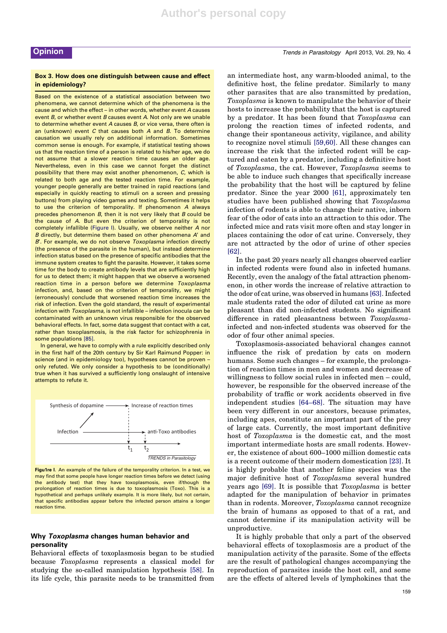### Box 3. How does one distinguish between cause and effect in epidemiology?

Based on the existence of a statistical association between two phenomena, we cannot determine which of the phenomena is the cause and which the effect – in other words, whether event A causes event B, or whether event B causes event A. Not only are we unable to determine whether event A causes B, or vice versa, there often is an (unknown) event C that causes both A and B. To determine causation we usually rely on additional information. Sometimes common sense is enough. For example, if statistical testing shows us that the reaction time of a person is related to his/her age, we do not assume that a slower reaction time causes an older age. Nevertheless, even in this case we cannot forget the distinct possibility that there may exist another phenomenon, C, which is related to both age and the tested reaction time. For example, younger people generally are better trained in rapid reactions (and especially in quickly reacting to stimuli on a screen and pressing buttons) from playing video games and texting. Sometimes it helps to use the criterion of temporality. If phenomenon A always precedes phenomenon  $B$ , then it is not very likely that  $B$  could be the cause of A. But even the criterion of temporality is not completely infallible (Figure I). Usually, we observe neither A nor B directly, but determine them based on other phenomena A' and B'. For example, we do not observe Toxoplasma infection directly (the presence of the parasite in the human), but instead determine infection status based on the presence of specific antibodies that the immune system creates to fight the parasite. However, it takes some time for the body to create antibody levels that are sufficiently high for us to detect them; it might happen that we observe a worsened reaction time in a person before we determine Toxoplasma infection, and, based on the criterion of temporality, we might (erroneously) conclude that worsened reaction time increases the risk of infection. Even the gold standard, the result of experimental infection with Toxoplasma, is not infallible – infection inocula can be contaminated with an unknown virus responsible for the observed behavioral effects. In fact, some data suggest that contact with a cat, rather than toxoplasmosis, is the risk factor for schizophrenia in some populations [85].

In general, we have to comply with a rule explicitly described only in the first half of the 20th century by Sir Karl Raimund Popper: in science (and in epidemiology too), hypotheses cannot be proven – only refuted. We only consider a hypothesis to be (conditionally) true when it has survived a sufficiently long onslaught of intensive attempts to refute it.



Figu1re I. An example of the failure of the temporality criterion. In a test, we may find that some people have longer reaction times before we detect (using the antibody test) that they have toxoplasmosis, even if/though the prolongation of reaction times is due to toxoplasmosis (Toxo). This is a hypothetical and perhaps unlikely example. It is more likely, but not certain, that specific antibodies appear before the infected person attains a longer reaction time.

## Why Toxoplasma changes human behavior and personality

Behavioral effects of toxoplasmosis began to be studied because Toxoplasma represents a classical model for studying the so-called manipulation hypothesis [58]. In its life cycle, this parasite needs to be transmitted from

an intermediate host, any warm-blooded animal, to the definitive host, the feline predator. Similarly to many other parasites that are also transmitted by predation, Toxoplasma is known to manipulate the behavior of their hosts to increase the probability that the host is captured by a predator. It has been found that Toxoplasma can prolong the reaction times of infected rodents, and change their spontaneous activity, vigilance, and ability to recognize novel stimuli [59,60]. All these changes can increase the risk that the infected rodent will be captured and eaten by a predator, including a definitive host of Toxoplasma, the cat. However, Toxoplasma seems to be able to induce such changes that specifically increase the probability that the host will be captured by feline predator. Since the year 2000 [61], approximately ten studies have been published showing that Toxoplasma infection of rodents is able to change their native, inborn fear of the odor of cats into an attraction to this odor. The infected mice and rats visit more often and stay longer in places containing the odor of cat urine. Conversely, they are not attracted by the odor of urine of other species [62].

In the past 20 years nearly all changes observed earlier in infected rodents were found also in infected humans. Recently, even the analogy of the fatal attraction phenomenon, in other words the increase of relative attraction to the odor of cat urine, was observed in humans [63]. Infected male students rated the odor of diluted cat urine as more pleasant than did non-infected students. No significant difference in rated pleasantness between Toxoplasmainfected and non-infected students was observed for the odor of four other animal species.

Toxoplasmosis-associated behavioral changes cannot influence the risk of predation by cats on modern humans. Some such changes – for example, the prolongation of reaction times in men and women and decrease of willingness to follow social rules in infected men – could, however, be responsible for the observed increase of the probability of traffic or work accidents observed in five independent studies [64–68]. The situation may have been very different in our ancestors, because primates, including apes, constitute an important part of the prey of large cats. Currently, the most important definitive host of Toxoplasma is the domestic cat, and the most important intermediate hosts are small rodents. However, the existence of about 600–1000 million domestic cats is a recent outcome of their modern domestication [23]. It is highly probable that another feline species was the major definitive host of Toxoplasma several hundred years ago [69]. It is possible that Toxoplasma is better adapted for the manipulation of behavior in primates than in rodents. Moreover, Toxoplasma cannot recognize the brain of humans as opposed to that of a rat, and cannot determine if its manipulation activity will be unproductive.

It is highly probable that only a part of the observed behavioral effects of toxoplasmosis are a product of the manipulation activity of the parasite. Some of the effects are the result of pathological changes accompanying the reproduction of parasites inside the host cell, and some are the effects of altered levels of lymphokines that the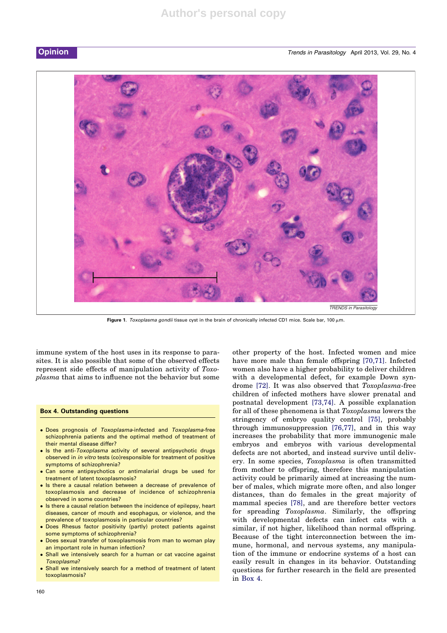

Figure 1. Toxoplasma gondii tissue cyst in the brain of chronically infected CD1 mice. Scale bar, 100 µm.

immune system of the host uses in its response to parasites. It is also possible that some of the observed effects represent side effects of manipulation activity of Toxoplasma that aims to influence not the behavior but some

### Box 4. Outstanding questions

- Does prognosis of Toxoplasma-infected and Toxoplasma-free schizophrenia patients and the optimal method of treatment of their mental disease differ?
- Is the anti-Toxoplasma activity of several antipsychotic drugs observed in in vitro tests (co)responsible for treatment of positive symptoms of schizophrenia?
- Can some antipsychotics or antimalarial drugs be used for treatment of latent toxoplasmosis?
- Is there a causal relation between a decrease of prevalence of toxoplasmosis and decrease of incidence of schizophrenia observed in some countries?
- Is there a causal relation between the incidence of epilepsy, heart diseases, cancer of mouth and esophagus, or violence, and the prevalence of toxoplasmosis in particular countries?
- Does Rhesus factor positivity (partly) protect patients against some symptoms of schizophrenia?
- Does sexual transfer of toxoplasmosis from man to woman play an important role in human infection?
- Shall we intensively search for a human or cat vaccine against Toxoplasma?
- Shall we intensively search for a method of treatment of latent toxoplasmosis?

other property of the host. Infected women and mice have more male than female offspring [70,71]. Infected women also have a higher probability to deliver children with a developmental defect, for example Down syndrome [72]. It was also observed that Toxoplasma-free children of infected mothers have slower prenatal and postnatal development [73,74]. A possible explanation for all of these phenomena is that Toxoplasma lowers the stringency of embryo quality control [75], probably through immunosuppression [76,77], and in this way increases the probability that more immunogenic male embryos and embryos with various developmental defects are not aborted, and instead survive until delivery. In some species, Toxoplasma is often transmitted from mother to offspring, therefore this manipulation activity could be primarily aimed at increasing the number of males, which migrate more often, and also longer distances, than do females in the great majority of mammal species [78], and are therefore better vectors for spreading Toxoplasma. Similarly, the offspring with developmental defects can infect cats with a similar, if not higher, likelihood than normal offspring. Because of the tight interconnection between the immune, hormonal, and nervous systems, any manipulation of the immune or endocrine systems of a host can easily result in changes in its behavior. Outstanding questions for further research in the field are presented in Box 4.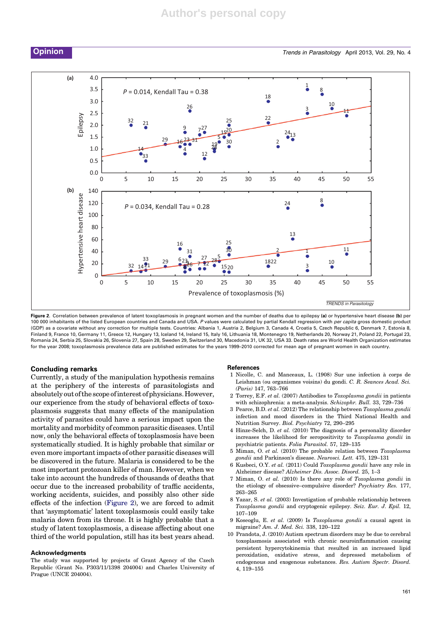

Figure 2. Correlation between prevalence of latent toxoplasmosis in pregnant women and the number of deaths due to epilepsy (a) or hypertensive heart disease (b) per 100 000 inhabitants of the listed European countries and Canada and USA. P values were calculated by partial Kendall regression with per capita gross domestic product (GDP) as a covariate without any correction for multiple tests. Countries: Albania 1, Austria 2, Belgium 3, Canada 4, Croatia 5, Czech Republic 6, Denmark 7, Estonia 8, Finland 9, France 10, Germany 11, Greece 12, Hungary 13, Iceland 14, Ireland 15, Italy 16, Lithuania 18, Montenegro 19, Netherlands 20, Norway 21, Poland 22, Portugal 23, Romania 24, Serbia 25, Slovakia 26, Slovenia 27, Spain 28, Sweden 29, Switzerland 30, Macedonia 31, UK 32, USA 33. Death rates are World Health Organization estimates for the year 2008; toxoplasmosis prevalence data are published estimates for the years 1999–2010 corrected for mean age of pregnant women in each country.

## Concluding remarks

Currently, a study of the manipulation hypothesis remains at the periphery of the interests of parasitologists and absolutely out of the scope of interest of physicians. However, our experience from the study of behavioral effects of toxoplasmosis suggests that many effects of the manipulation activity of parasites could have a serious impact upon the mortality and morbidity of common parasitic diseases. Until now, only the behavioral effects of toxoplasmosis have been systematically studied. It is highly probable that similar or even more importantimpacts of other parasitic diseases will be discovered in the future. Malaria is considered to be the most important protozoan killer of man. However, when we take into account the hundreds of thousands of deaths that occur due to the increased probability of traffic accidents, working accidents, suicides, and possibly also other side effects of the infection (Figure 2), we are forced to admit that 'asymptomatic' latent toxoplasmosis could easily take malaria down from its throne. It is highly probable that a study of latent toxoplasmosis, a disease affecting about one third of the world population, still has its best years ahead.

### Acknowledgments

The study was supported by projects of Grant Agency of the Czech Republic (Grant No. P303/11/1398 204004) and Charles University of Prague (UNCE 204004).

### References

- 1 Nicolle, C. and Manceaux, L. (1908) Sur une infection a` corps de Leishman (ou organismes voisins) du gondi. C. R. Seances Acad. Sci. (Paris) 147, 763–766
- 2 Torrey, E.F. et al. (2007) Antibodies to Toxoplasma gondii in patients with schizophrenia: a meta-analysis. Schizophr. Bull. 33, 729–736
- 3 Pearce, B.D. et al. (2012) The relationship between Toxoplasma gondii infection and mood disorders in the Third National Health and Nutrition Survey. Biol. Psychiatry 72, 290–295
- 4 Hinze-Selch, D. et al. (2010) The diagnosis of a personality disorder increases the likelihood for seropositivity to Toxoplasma gondii in psychiatric patients. Folia Parasitol. 57, 129–135
- 5 Miman, O. et al. (2010) The probable relation between Toxoplasma gondii and Parkinson's disease. Neurosci. Lett. 475, 129–131
- 6 Kusbeci, O.Y. et al. (2011) Could Toxoplasma gondii have any role in Alzheimer disease? Alzheimer Dis. Assoc. Disord. 25, 1–3
- 7 Miman, O. et al. (2010) Is there any role of Toxoplasma gondii in the etiology of obsessive–compulsive disorder? Psychiatry Res. 177, 263–265
- 8 Yazar, S. et al. (2003) Investigation of probable relationship between Toxoplasma gondii and cryptogenic epilepsy. Seiz. Eur. J. Epil. 12, 107–109
- 9 Koseoglu, E. et al. (2009) Is Toxoplasma gondii a causal agent in migraine? Am. J. Med. Sci. 338, 120–122
- 10 Prandota, J. (2010) Autism spectrum disorders may be due to cerebral toxoplasmosis associated with chronic neuroinflammation causing persistent hypercytokinemia that resulted in an increased lipid peroxidation, oxidative stress, and depressed metabolism of endogenous and exogenous substances. Res. Autism Spectr. Disord. 4, 119–155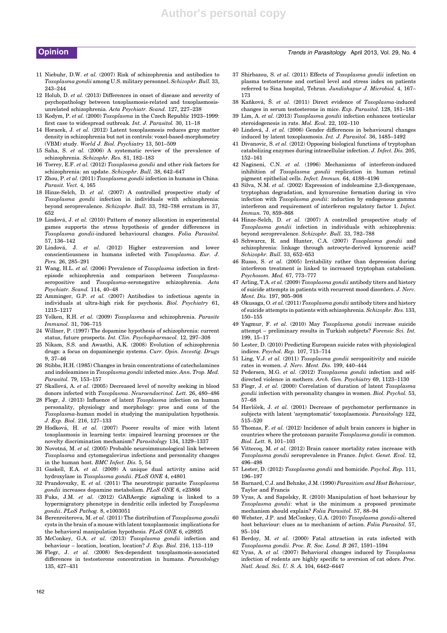### **Opinion Character Community Community** Trends in Parasitology April 2013, Vol. 29, No. 4

- 11 Niebuhr, D.W. et al. (2007) Risk of schizophrenia and antibodies to Toxoplasma gondii among U.S. military personnel. Schizophr. Bull. 33, 243–244
- 12 Holub, D. et al. (2013) Differences in onset of disease and severity of psychopathology between toxoplasmosis-related and toxoplasmosisunrelated schizophrenia. Acta Psychiatr. Scand. 127, 227–238
- 13 Kodym, P. et al. (2000) Toxoplasma in the Czech Republic 1923–1999: first case to widespread outbreak. Int. J. Parasitol. 30, 11–18
- 14 Horacek, J. et al. (2012) Latent toxoplasmosis reduces gray matter density in schizophrenia but not in controls: voxel-based-morphometry (VBM) study. World J. Biol. Psychiatry 13, 501–509
- 15 Saha, S. et al. (2006) A systematic review of the prevalence of schizophrenia. Schizophr. Res. 81, 182–183
- 16 Torrey, E.F. et al. (2012) Toxoplasma gondii and other risk factors for schizophrenia: an update. Schizophr. Bull. 38, 642–647
- 17 Zhou, P. et al. (2011) Toxoplasma gondii infection in humans in China. Parasit. Vect. 4, 165
- 18 Hinze-Selch, D. et al. (2007) A controlled prospective study of Toxoplasma gondii infection in individuals with schizophrenia: beyond seroprevalence. Schizophr. Bull. 33, 782–788 erratum in 37, 652
- 19 Lindová, J. et al. (2010) Pattern of money allocation in experimental games supports the stress hypothesis of gender differences in Toxoplasma gondii-induced behavioural changes. Folia Parasitol. 57, 136–142
- 20 Lindová, J. et al. (2012) Higher extraversion and lower conscientiousness in humans infected with Toxoplasma. Eur. J. Pers. 26, 285–291
- 21 Wang, H.L. et al. (2006) Prevalence of Toxoplasma infection in firstepisode schizophrenia and comparison between Toxoplasmaseropositive and Toxoplasma-seronegative schizophrenia. Acta Psychiatr. Scand. 114, 40–48
- 22 Amminger, G.P. et al. (2007) Antibodies to infectious agents in individuals at ultra-high risk for psychosis. Biol. Psychiatry 61, 1215–1217
- 23 Yolken, R.H. et al. (2009) Toxoplasma and schizophrenia. Parasite Immunol. 31, 706–715
- 24 Willner, P. (1997) The dopamine hypothesis of schizophrenia: current status, future prospects. Int. Clin. Psychopharmacol. 12, 297–308
- 25 Nikam, S.S. and Awasthi, A.K. (2008) Evolution of schizophrenia drugs: a focus on dopaminergic systems. Curr. Opin. Investig. Drugs 9, 37–46
- 26 Stibbs, H.H. (1985) Changes in brain concentrations of catecholamines and indoleamines in Toxoplasma gondii infected mice. Ann. Trop. Med. Parasitol. 79, 153–157
- 27 Skallová, A. et al. (2005) Decreased level of novelty seeking in blood donors infected with Toxoplasma. Neuroendocrinol. Lett. 26, 480–486
- 28 Flegr, J. (2013) Influence of latent Toxoplasma infection on human personality, physiology and morphology: pros and cons of the Toxoplasma-human model in studying the manipulation hypothesis. J. Exp. Biol. 216, 127–133
- 29 Hodková, H. et al. (2007) Poorer results of mice with latent toxoplasmosis in learning tests: impaired learning processes or the novelty discrimination mechanism? Parasitology 134, 1329–1337
- $30$  Novotná, M.  $et\; al. \; (2005)$  Probable neuroimmunological link between Toxoplasma and cytomegalovirus infections and personality changes in the human host. BMC Infect. Dis. 5, 54
- 31 Gaskell, E.A. et al. (2009) A unique dual activity amino acid hydroxylase in Toxoplasma gondii. PLoS ONE 4, e4801
- 32 Prandovszky, E. et al. (2011) The neurotropic parasite Toxoplasma gondii increases dopamine metabolism. PLoS ONE 6, e23866
- 33 Fuks, J.M. et al. (2012) GABAergic signaling is linked to a hypermigratory phenotype in dendritic cells infected by Toxoplasma gondii. PLoS Pathog. 8, e1003051
- 34 Berenreiterova, M. et al. (2011) The distribution of Toxoplasma gondii cysts in the brain of a mouse with latent toxoplasmosis: implications for the behavioral manipulation hypothesis. PLoS ONE 6, e28925
- 35 McConkey, G.A. et al. (2013) Toxoplasma gondii infection and behaviour – location, location, location? J. Exp. Biol. 216, 113–119
- 36 Flegr, J. et al. (2008) Sex-dependent toxoplasmosis-associated differences in testosterone concentration in humans. Parasitology 135, 427–431
- 37 Shirbazou, S. et al. (2011) Effects of Toxoplasma gondii infection on plasma testosterone and cortisol level and stress index on patients referred to Sina hospital, Tehran. Jundishapur J. Microbiol. 4, 167– 173
- 38 Kaňková, Š. et al. (2011) Direct evidence of Toxoplasma-induced changes in serum testosterone in mice. Exp. Parasitol. 128, 181–183
- 39 Lim, A. et al. (2013) Toxoplasma gondii infection enhances testicular steroidogenesis in rats. Mol. Ecol. 22, 102–110
- 40 Lindová, J. et al. (2006) Gender differences in behavioural changes induced by latent toxoplasmosis. Int. J. Parasitol. 36, 1485–1492
- 41 Divanovic, S. et al. (2012) Opposing biological functions of tryptophan catabolizing enzymes during intracellular infection. J. Infect. Dis. 205, 152–161
- 42 Nagineni, C.N. et al. (1996) Mechanisms of interferon-induced inhibition of Toxoplasma gondii replication in human retinal pigment epithelial cells. Infect. Immun. 64, 4188–4196
- 43 Silva, N.M. et al. (2002) Expression of indoleamine 2,3-dioxygenase, tryptophan degradation, and kynurenine formation during in vivo infection with Toxoplasma gondii: induction by endogenous gamma interferon and requirement of interferon regulatory factor 1. Infect. Immun. 70, 859–868
- 44 Hinze-Selch, D. et al. (2007) A controlled prospective study of Toxoplasma gondii infection in individuals with schizophrenia: beyond seroprevalence. Schizophr. Bull. 33, 782–788
- 45 Schwarcz, R. and Hunter, C.A. (2007) Toxoplasma gondii and schizophrenia: linkage through astrocyte-derived kynurenic acid? Schizophr. Bull. 33, 652–653
- 46 Russo, S. et al. (2005) Irritability rather than depression during interferon treatment is linked to increased tryptophan catabolism. Psychosom. Med. 67, 773–777
- 47 Arling, T.A. et al. (2009) Toxoplasma gondii antibody titers and history of suicide attempts in patients with recurrent mood disorders. J. Nerv. Ment. Dis. 197, 905–908
- 48 Okusaga, O. et al. (2011) Toxoplasma gondii antibody titers and history of suicide attempts in patients with schizophrenia. Schizophr. Res. 133, 150–155
- 49 Yagmur, F. et al. (2010) May Toxoplasma gondii increase suicide attempt – preliminary results in Turkish subjects? Forensic Sci. Int. 199, 15–17
- 50 Lester, D. (2010) Predicting European suicide rates with physiological indices. Psychol. Rep. 107, 713–714
- 51 Ling, V.J. et al. (2011) Toxoplasma gondii seropositivity and suicide rates in women. J. Nerv. Ment. Dis. 199, 440–444
- 52 Pedersen, M.G. et al. (2012) Toxoplasma gondii infection and selfdirected violence in mothers. Arch. Gen. Psychiatry 69, 1123–1130
- 53 Flegr, J. et al. (2000) Correlation of duration of latent Toxoplasma gondii infection with personality changes in women. Biol. Psychol. 53, 57–68
- 54 Havlíček, J. et al. (2001) Decrease of psychomotor performance in subjects with latent 'asymptomatic' toxoplasmosis. Parasitology 122, 515–520
- 55 Thomas, F. et al. (2012) Incidence of adult brain cancers is higher in countries where the protozoan parasite Toxoplasma gondii is common. Biol. Lett. 8, 101–103
- 56 Vittecoq, M. et al. (2012) Brain cancer mortality rates increase with Toxoplasma gondii seroprevalence in France. Infect. Genet. Evol. 12, 496–498
- 57 Lester, D. (2012) Toxoplasma gondii and homicide. Psychol. Rep. 111, 196–197
- 58 Barnard, C.J. and Behnke, J.M. (1990) Parasitism and Host Behaviour, Taylor and Francis
- 59 Vyas, A. and Sapolsky, R. (2010) Manipulation of host behaviour by Toxoplasma gondii: what is the minimum a proposed proximate mechanism should explain? Folia Parasitol. 57, 88–94
- 60 Webster, J.P. and McConkey, G.A. (2010) Toxoplasma gondii-altered host behaviour: clues as to mechanism of action. Folia Parasitol. 57, 95–104
- 61 Berdoy, M. et al. (2000) Fatal attraction in rats infected with Toxoplasma gondii. Proc. R. Soc. Lond. B 267, 1591–1594
- 62 Vyas, A. et al. (2007) Behavioral changes induced by Toxoplasma infection of rodents are highly specific to aversion of cat odors. Proc. Natl. Acad. Sci. U. S. A. 104, 6442–6447